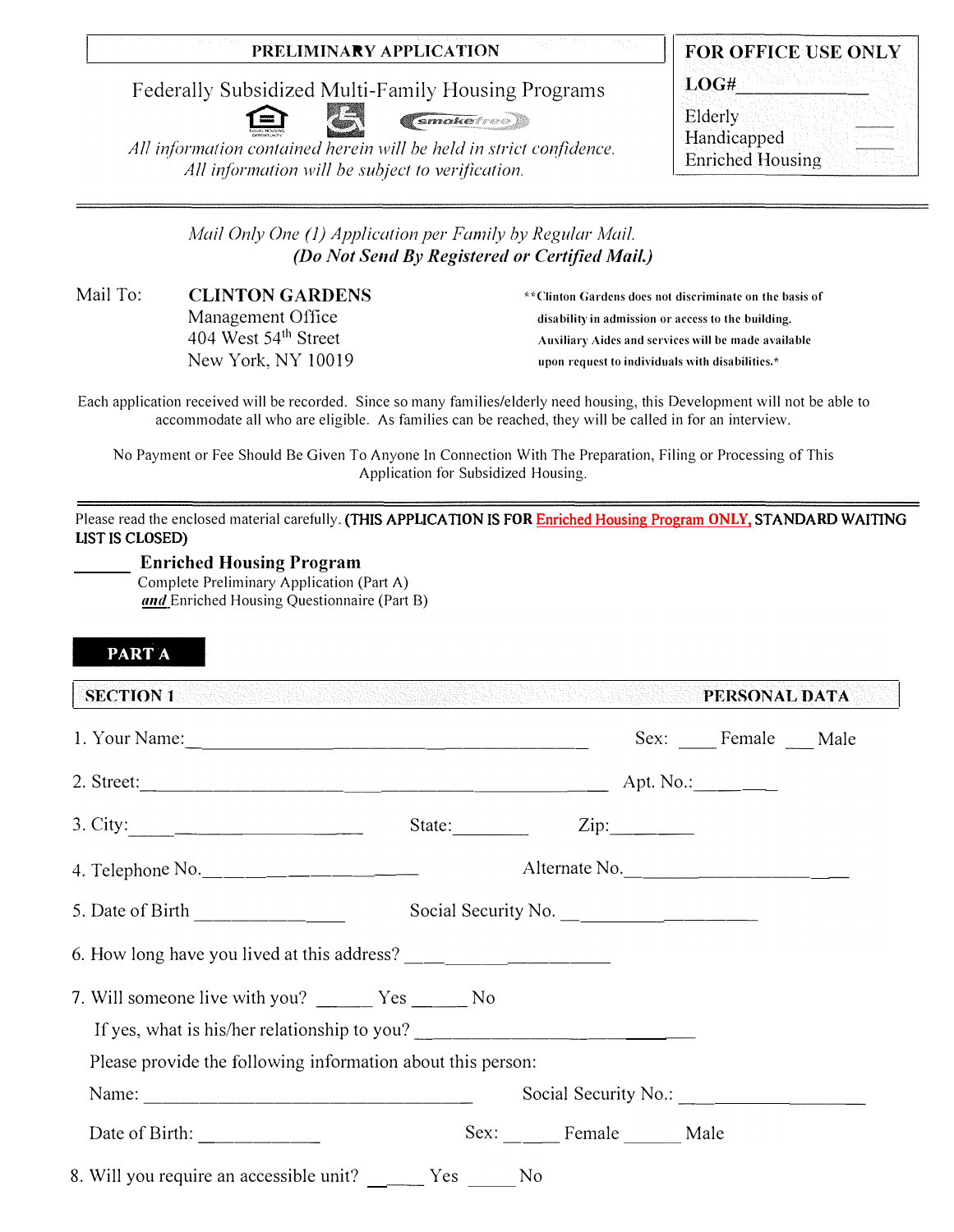# **PRELIMINARY APPLICATION**

Federally Subsidized Multi-Family Housing Programs



*<u>Smokefree</u>* 

All information contained herein will be held in strict confidence. All information will be subject to verification.

|                         | FOR OFFICE USE ONLY |
|-------------------------|---------------------|
| LOG#                    |                     |
| Elderly                 |                     |
| Handicapped             |                     |
| <b>Enriched Housing</b> |                     |

*Mail Only One(]) Application per Family by Regular Mail. (Do Not Send By Registered or Certified Mail.)* 

Mail To: **CLINTON GARDENS**  Management Office 404 West 54 **<sup>111</sup>**Street New York, NY 10019

\*\*Clinton Gardens does not discriminate on the basis of disability in admission or access to the building. Auxiliary Aides and services will be made available upon request to individuals with disabilities.\*

Each application received will be recorded. Since so many families/elderly need housing, this Development will not be able to accommodate all who are eligible. As families can be reached, they will be called in for an interview.

No Payment or Fee Should Be Given To Anyone In Connection With The Preparation, Filing or Processing of This Application for Subsidized Housing.

Please read the enclosed material carefully. (THIS APP**L**ICATI**O**N IS F**OR** Enriched Housing Program **O**N**LY**, STANDA**R**D WAITING **L**IST IS C**LO**SED)

**EXAMPLE Program** Complete Preliminary Application (Part A) and Enriched Housing Questionnaire (Part B)

## **PART A**

**SECTION 1** PERSONAL DATA I. Your Name:- ----------- ------- Sex: Female Male 2. Street:------------ ------------- Apt. No.: \_\_\_ \_ 3. City: \_ \_\_\_\_\_\_\_\_ \_ State: ---- Zip: \_\_\_ \_ 4. Telephone No. \_\_\_\_\_\_\_\_\_ \_ Alternate No. - - ------- - 5. Date of Birth Social Security No. 6. How long have you lived at this address? \_\_\_\_\_\_\_\_\_ \_ 7. Will someone live with you? Yes No If yes, what is his/her relationship to you? Please provide the following information about this person: Name: ------------------ Social Security No.: ----------

Date of Birth: Sex: Female Male

8. Will you require an accessible unit? \_\_\_\_\_ Yes \_\_\_\_ No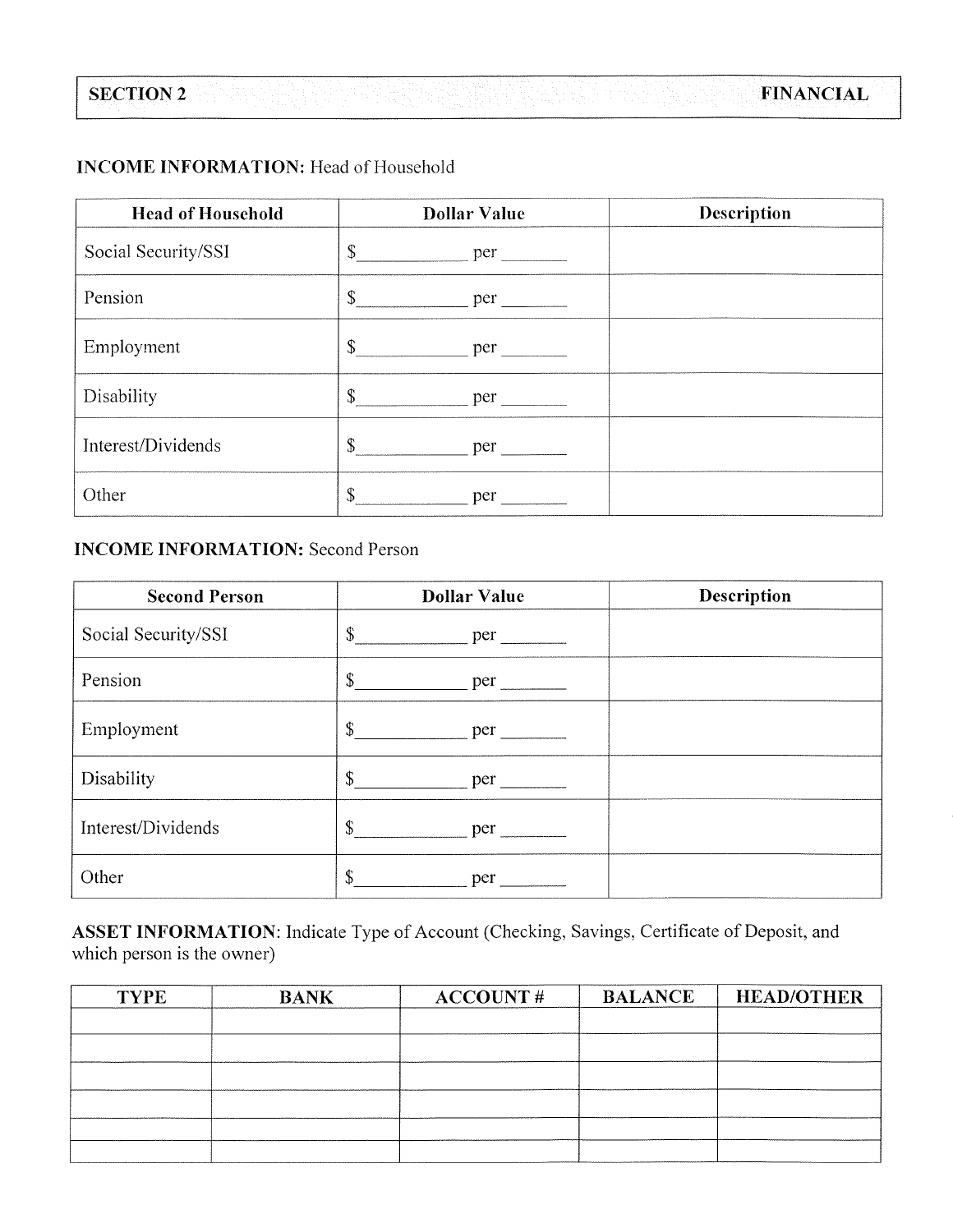# **INCOME INFORMATION:** Head of Household

| <b>Head of Household</b> | <b>Dollar Value</b>                   | Description |
|--------------------------|---------------------------------------|-------------|
| Social Security/SSI      | $\mathbb{S}$<br>$per$ $\qquad \qquad$ |             |
| Pension                  | \$<br>per                             |             |
| Employment               | \$<br>per                             |             |
| Disability               | $\mathbb{S}$<br>per                   |             |
| Interest/Dividends       | $\mathbb{S}$<br>per                   |             |
| Other                    | \$<br>per                             |             |

# **INCOME INFORMATION: Second Person**

| <b>Second Person</b> | <b>Dollar Value</b>                   | Description |
|----------------------|---------------------------------------|-------------|
| Social Security/SSI  | \$<br>per                             |             |
| Pension              | \$<br>per                             |             |
| Employment           | $\mathbb{S}$<br>$per$ $\qquad \qquad$ |             |
| Disability           |                                       |             |
| Interest/Dividends   | \$<br><b>Example 1</b>                |             |
| Other                | \$<br>per                             |             |

ASSET INFORMATION: Indicate Type of Account (Checking, Savings, Certificate of Deposit, and which person is the owner)

| <b>BANK</b> | ACCOUNT# | <b>BALANCE</b> | <b>HEAD/OTHER</b> |
|-------------|----------|----------------|-------------------|
|             |          |                |                   |
|             |          |                |                   |
|             |          |                |                   |
|             |          |                |                   |
|             |          |                |                   |
|             |          |                |                   |
|             |          |                |                   |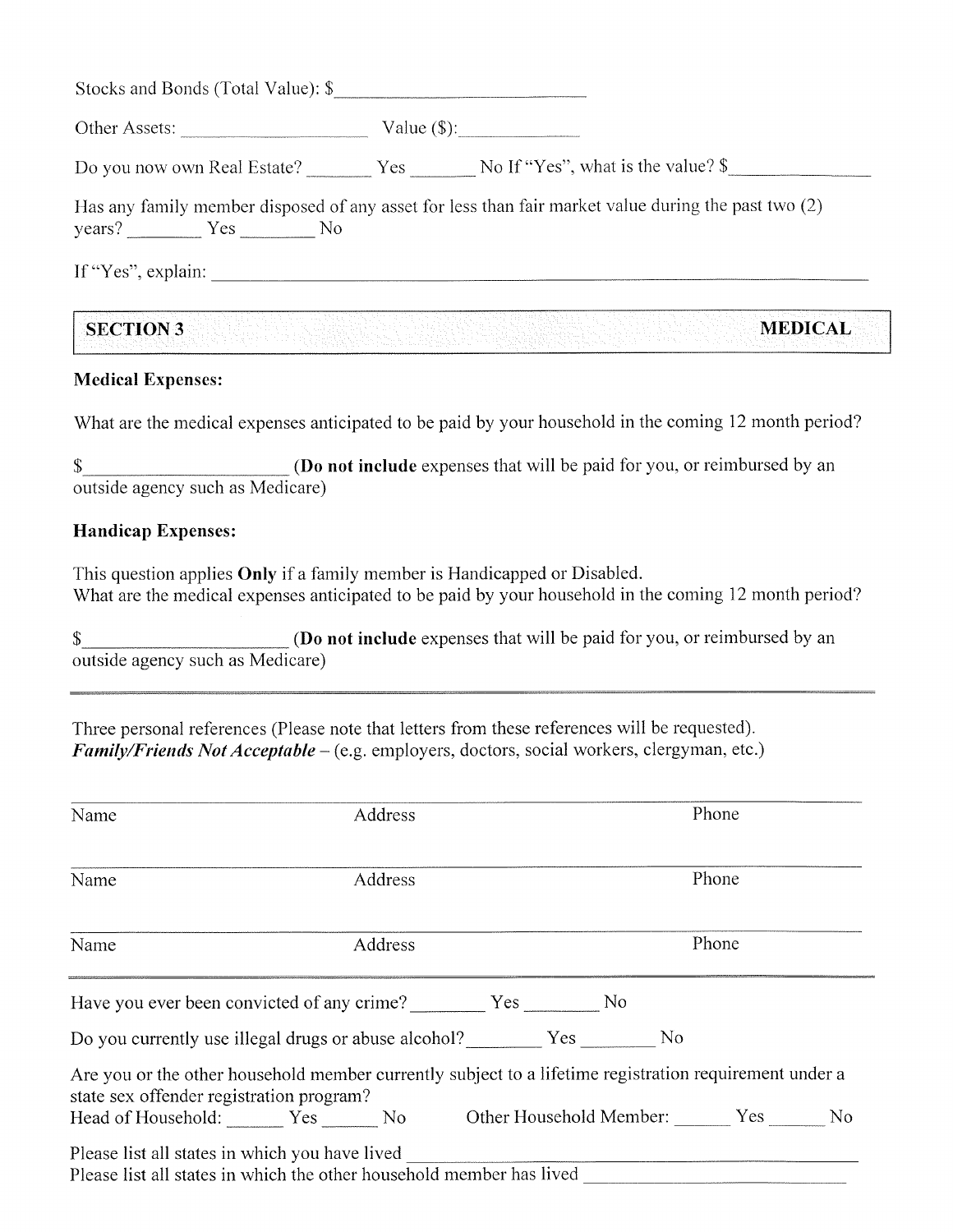| Stocks and Bonds (Total Value): \$                                 |                                                                                                     |
|--------------------------------------------------------------------|-----------------------------------------------------------------------------------------------------|
| Other Assets:                                                      |                                                                                                     |
| Do you now own Real Estate? Yes No If "Yes", what is the value? \$ |                                                                                                     |
| years? Yes No                                                      | Has any family member disposed of any asset for less than fair market value during the past two (2) |
| If "Yes", explain:                                                 |                                                                                                     |

| <b>SECTION 3</b> |  | <b>MEDICAL</b> |
|------------------|--|----------------|
|                  |  |                |
|                  |  |                |
|                  |  |                |
|                  |  |                |
|                  |  |                |
|                  |  |                |
|                  |  |                |
|                  |  |                |
|                  |  |                |

## **Medical Expenses:**

What are the medical expenses anticipated to be paid by your household in the coming 12 month period?

(Do not include expenses that will be paid for you, or reimbursed by an  $\mathbb{S}$ outside agency such as Medicare)

#### **Handicap Expenses:**

This question applies Only if a family member is Handicapped or Disabled. What are the medical expenses anticipated to be paid by your household in the coming 12 month period?

**(Do not include** expenses that will be paid for you, or reimbursed by an  $\mathbb{S}$ outside agency such as Medicare)

Three personal references (Please note that letters from these references will be requested). Family/Friends Not Acceptable – (e.g. employers, doctors, social workers, clergyman, etc.)

| Name                                     | Address |                                                                                                        | Phone |  |
|------------------------------------------|---------|--------------------------------------------------------------------------------------------------------|-------|--|
| Name                                     | Address |                                                                                                        | Phone |  |
| Name                                     | Address |                                                                                                        | Phone |  |
|                                          |         |                                                                                                        |       |  |
|                                          |         | Do you currently use illegal drugs or abuse alcohol? Yes No                                            |       |  |
| state sex offender registration program? |         | Are you or the other household member currently subject to a lifetime registration requirement under a |       |  |
|                                          |         | Head of Household: Yes No Other Household Member: Yes No                                               |       |  |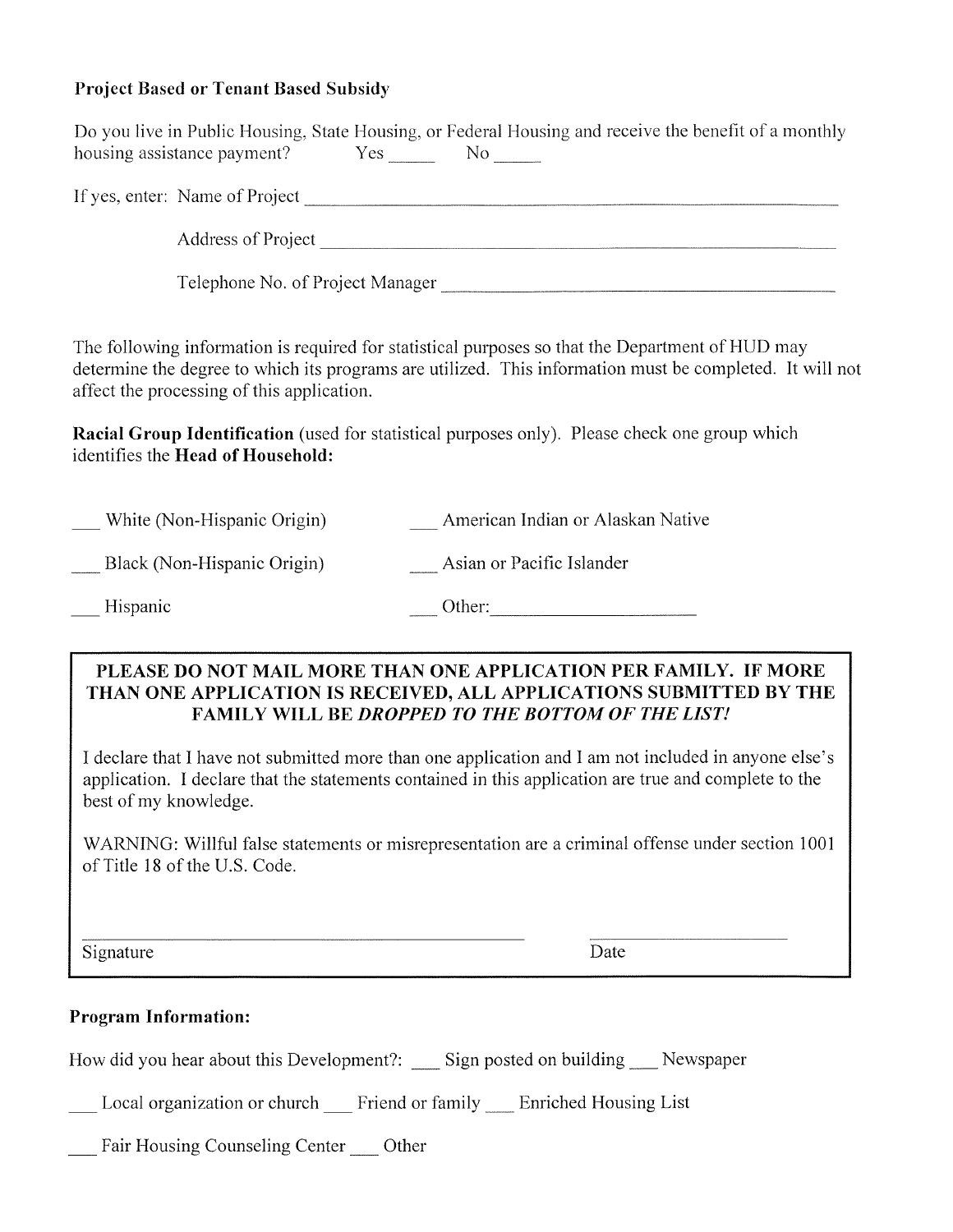# **Project Based or Tenant Based Subsidy**

| Do you live in Public Housing, State Housing, or Federal Housing and receive the benefit of a monthly<br>housing assistance payment? Yes No No                                                                                                             |
|------------------------------------------------------------------------------------------------------------------------------------------------------------------------------------------------------------------------------------------------------------|
|                                                                                                                                                                                                                                                            |
|                                                                                                                                                                                                                                                            |
| Telephone No. of Project Manager                                                                                                                                                                                                                           |
| The following information is required for statistical purposes so that the Department of HUD may<br>determine the degree to which its programs are utilized. This information must be completed. It will not<br>affect the processing of this application. |
| <b>Racial Group Identification</b> (used for statistical purposes only). Please check one group which<br>identifies the Head of Household:                                                                                                                 |
| <b>Example 21</b> American Indian or Alaskan Native<br>White (Non-Hispanic Origin)                                                                                                                                                                         |
| Black (Non-Hispanic Origin)<br>Asian or Pacific Islander                                                                                                                                                                                                   |
| Hispanic<br>$\qquad \qquad \text{Other:} \qquad \qquad \text{Other:}$                                                                                                                                                                                      |
| PLEASE DO NOT MAIL MORE THAN ONE APPLICATION PER FAMILY. IF MORE<br>THAN ONE APPLICATION IS RECEIVED, ALL APPLICATIONS SUBMITTED BY THE<br><b>FAMILY WILL BE DROPPED TO THE BOTTOM OF THE LIST!</b>                                                        |
| I declare that I have not submitted more than one application and I am not included in anyone else's<br>application. I declare that the statements contained in this application are true and complete to the<br>best of my knowledge.                     |
| WARNING: Willful false statements or misrepresentation are a criminal offense under section 1001<br>of Title 18 of the U.S. Code.                                                                                                                          |
| Date<br>Signature                                                                                                                                                                                                                                          |
| <b>Program Information:</b>                                                                                                                                                                                                                                |
| How did you hear about this Development?: ____ Sign posted on building ____ Newspaper                                                                                                                                                                      |
| Local organization or church ___ Friend or family ___ Enriched Housing List                                                                                                                                                                                |
| Fair Housing Counseling Center<br>Other                                                                                                                                                                                                                    |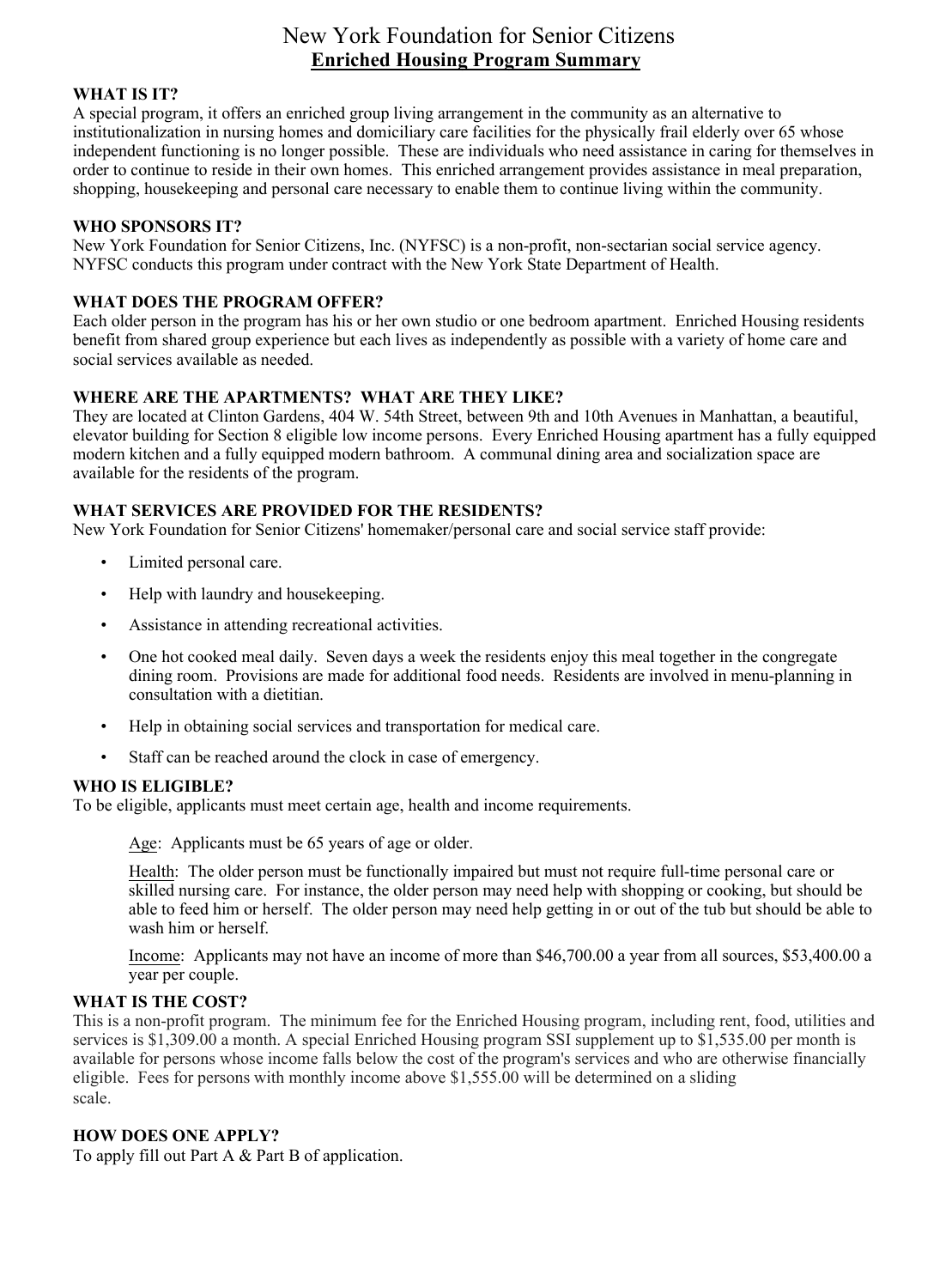# New York Foundation for Senior Citizens **Enriched Housing Program Summary**

#### **WHAT IS IT?**

A special program, it offers an enriched group living arrangement in the community as an alternative to institutionalization in nursing homes and domiciliary care facilities for the physically frail elderly over 65 whose independent functioning is no longer possible. These are individuals who need assistance in caring for themselves in order to continue to reside in their own homes. This enriched arrangement provides assistance in meal preparation, shopping, housekeeping and personal care necessary to enable them to continue living within the community.

#### **WHO SPONSORS IT?**

New York Foundation for Senior Citizens, Inc. (NYFSC) is a non-profit, non-sectarian social service agency. NYFSC conducts this program under contract with the New York State Department of Health.

#### **WHAT DOES THE PROGRAM OFFER?**

Each older person in the program has his or her own studio or one bedroom apartment. Enriched Housing residents benefit from shared group experience but each lives as independently as possible with a variety of home care and social services available as needed.

## **WHERE ARE THE APARTMENTS? WHAT ARE THEY LIKE?**

They are located at Clinton Gardens, 404 W. 54th Street, between 9th and 10th Avenues in Manhattan, a beautiful, elevator building for Section 8 eligible low income persons. Every Enriched Housing apartment has a fully equipped modern kitchen and a fully equipped modern bathroom. A communal dining area and socialization space are available for the residents of the program.

#### **WHAT SERVICES ARE PROVIDED FOR THE RESIDENTS?**

New York Foundation for Senior Citizens' homemaker/personal care and social service staff provide:

- Limited personal care.
- Help with laundry and housekeeping.
- Assistance in attending recreational activities.
- One hot cooked meal daily. Seven days a week the residents enjoy this meal together in the congregate dining room. Provisions are made for additional food needs. Residents are involved in menu-planning in consultation with a dietitian.
- Help in obtaining social services and transportation for medical care.
- Staff can be reached around the clock in case of emergency.

#### **WHO IS ELIGIBLE?**

To be eligible, applicants must meet certain age, health and income requirements.

Age: Applicants must be 65 years of age or older.

Health: The older person must be functionally impaired but must not require full-time personal care or skilled nursing care. For instance, the older person may need help with shopping or cooking, but should be able to feed him or herself. The older person may need help getting in or out of the tub but should be able to wash him or herself.

Income: Applicants may not have an income of more than \$46,700.00 a year from all sources, \$53,400.00 a year per couple.

#### **WHAT IS THE COST?**

This is a non-profit program. The minimum fee for the Enriched Housing program, including rent, food, utilities and services is \$1,309.00 a month. A special Enriched Housing program SSI supplement up to \$1,535.00 per month is available for persons whose income falls below the cost of the program's services and who are otherwise financially eligible. Fees for persons with monthly income above \$1,555.00 will be determined on a sliding scale.

#### **HOW DOES ONE APPLY?**

To apply fill out Part A & Part B of application.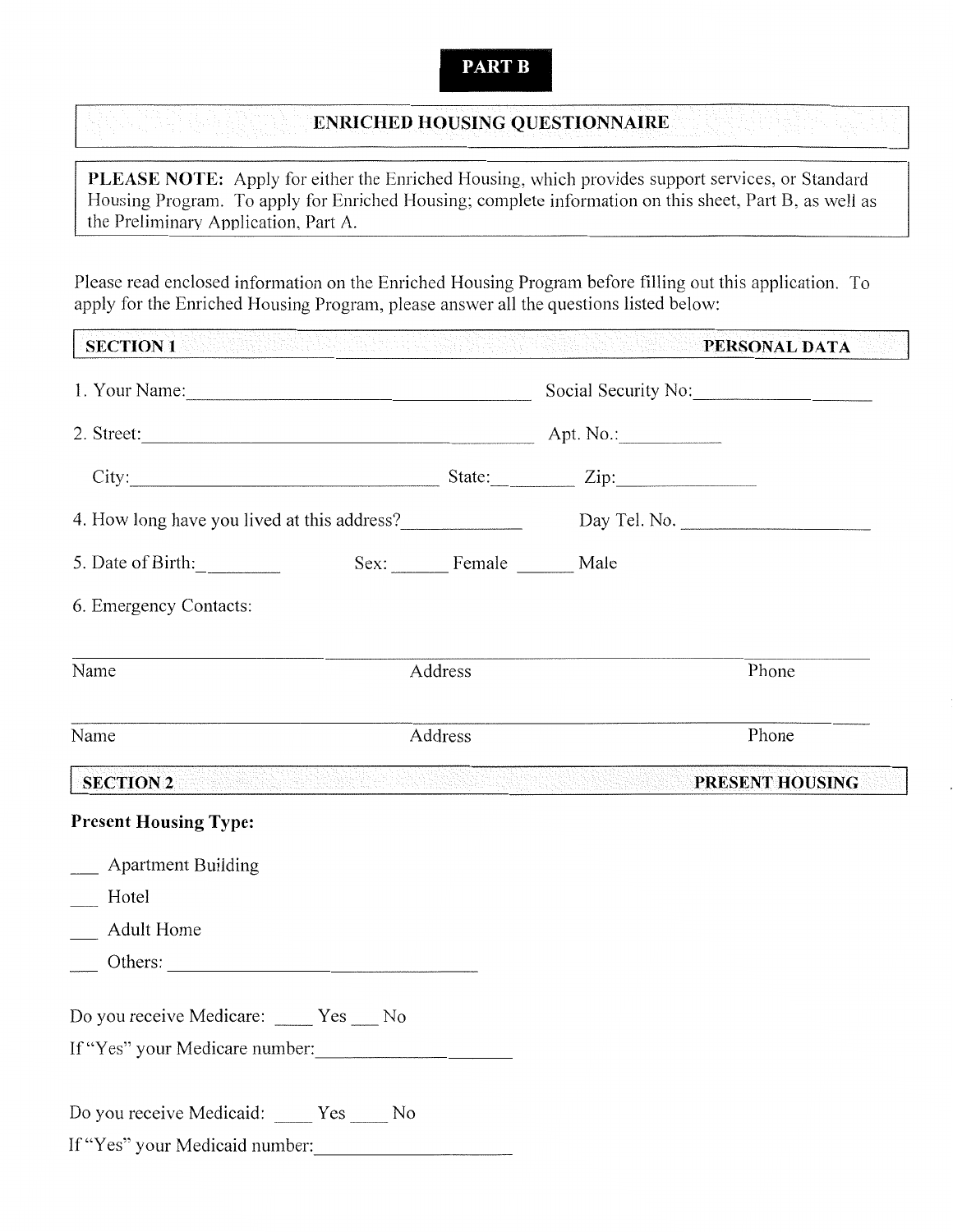# **PART B**

# **ENRICHED HOUSING QUESTIONNAIRE**

PLEASE NOTE: Apply for either the Enriched Housing, which provides support services, or Standard Housing Program. To apply for Enriched Housing; complete information on this sheet, Part B, as well as the Preliminary Application, Part A.

Please read enclosed information on the Enriched Housing Program before filling out this application. To apply for the Enriched Housing Program, please answer all the questions listed below:

| <b>SECTION 1</b>                                                            | ing ting ting ting the set of the term of the second company of the design of the second that the second the s |                         |                                                                                                                 | PERSONAL DATA         |
|-----------------------------------------------------------------------------|----------------------------------------------------------------------------------------------------------------|-------------------------|-----------------------------------------------------------------------------------------------------------------|-----------------------|
|                                                                             |                                                                                                                | Social Security No:     |                                                                                                                 |                       |
|                                                                             |                                                                                                                |                         |                                                                                                                 | $City:$ State: $Zip:$ |
| 4. How long have you lived at this address? Day Tel. No. 2008. Day Tel. No. |                                                                                                                |                         |                                                                                                                 |                       |
| 5. Date of Birth:                                                           |                                                                                                                | Sex: Female ______ Male |                                                                                                                 |                       |
| 6. Emergency Contacts:                                                      |                                                                                                                |                         |                                                                                                                 |                       |
| Name                                                                        |                                                                                                                | Address                 |                                                                                                                 | Phone                 |
| Name                                                                        | Address                                                                                                        |                         |                                                                                                                 | Phone                 |
| <b>SECTION 2</b>                                                            |                                                                                                                |                         | <u>ter and description of the complete state of the second state of the second state of the second state of</u> | PRESENT HOUSING       |
| <b>Present Housing Type:</b>                                                |                                                                                                                |                         |                                                                                                                 |                       |
| __ Apartment Building                                                       |                                                                                                                |                         |                                                                                                                 |                       |
| Hotel                                                                       |                                                                                                                |                         |                                                                                                                 |                       |
| <b>Adult Home</b>                                                           |                                                                                                                |                         |                                                                                                                 |                       |
|                                                                             |                                                                                                                |                         |                                                                                                                 |                       |
| Do you receive Medicare: ____ Yes ___ No                                    |                                                                                                                |                         |                                                                                                                 |                       |
| If "Yes" your Medicare number:                                              |                                                                                                                |                         |                                                                                                                 |                       |
| Do you receive Medicaid: ____ Yes ____ No                                   |                                                                                                                |                         |                                                                                                                 |                       |
| If "Yes" your Medicaid number:                                              |                                                                                                                |                         |                                                                                                                 |                       |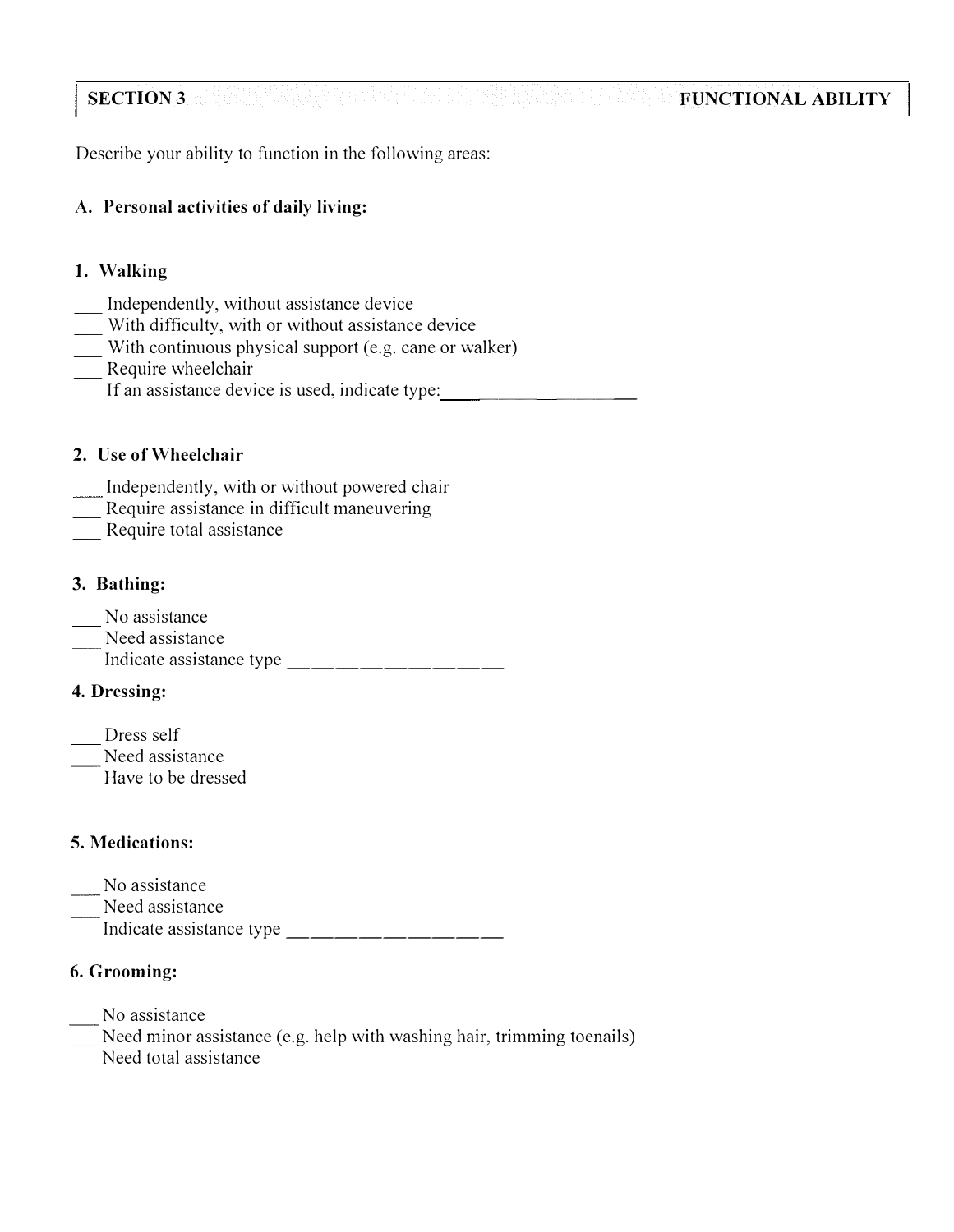#### **SECTION3 FUNCTIONAL ABILITY**

Describe your ability to function in the following areas:

# **A. Personal activities of daily living:**

# **1. Walking**

- 
- 
- \_\_\_ Independently, without assistance device<br>
\_\_\_ With difficulty, with or without assistance device<br>
\_\_ With continuous physical support (e.g. cane or walker)<br>
Require wheelchair
- - If an assistance device is used, indicate type:

## **2. Use of Wheelchair**

- Independently, with or without powered chair
- Require assistance in difficult maneuvering<br>Require total assistance
- 

# **3. Bathing:**

- No assistance
- Need assistance
- Indicate assistance type \_\_\_\_\_\_\_\_\_\_\_\_\_\_\_\_\_\_

# **4. Dressing:**

- Dress self
- Need assistance
- Have to be dressed

# **5. Medications:**

- No assistance
- Need assistance
	- Indicate assistance type \_\_\_\_\_\_\_\_\_

# **6. Grooming:**

- No assistance
- Need minor assistance (e.g. help with washing hair, trimming toenails)
- Need total assistance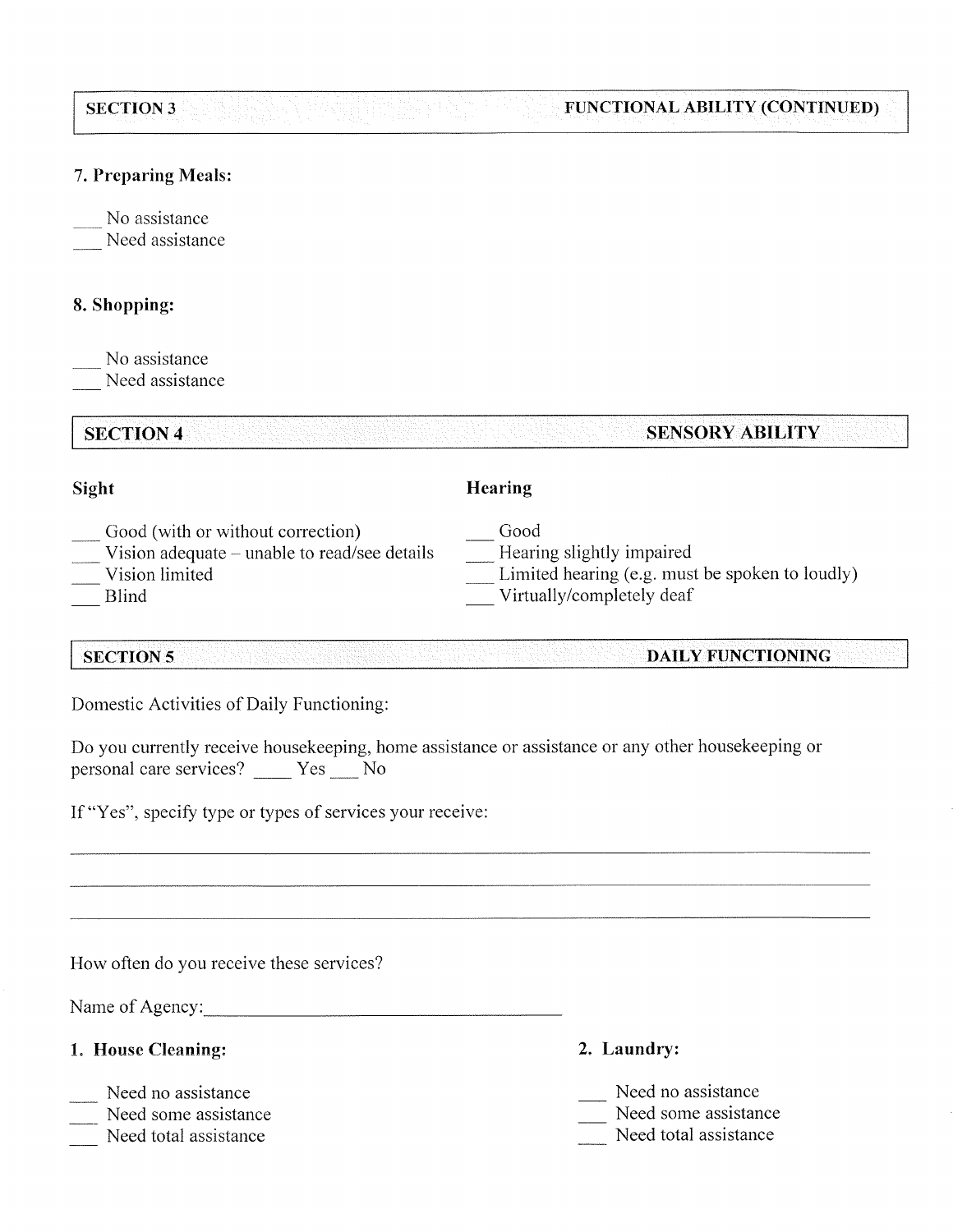#### **SECTION 3** FUNCTIONAL ABILITY (CONTINUED)

## 7. Preparing Meals:

No assistance Need assistance

# 8. Shopping:

No assistance Need assistance

**SECTION 4 SENSORY ABILITY** 

## Sight

# Hearing

Good

- Good (with or without correction)
- Vision adequate unable to read/see details
- Vision limited
- **Blind**

# Hearing slightly impaired

- Limited hearing (e.g. must be spoken to loudly)
- Virtually/completely deaf

#### **SECTION 5** DAILY FUNCTIONING

Domestic Activities of Daily Functioning:

Do you currently receive housekeeping, home assistance or assistance or any other housekeeping or personal care services? \_\_\_\_ Yes \_\_\_ No

If "Yes", specify type or types of services your receive:

How often do you receive these services?

Name of Agency:

- 1. House Cleaning:
- Need no assistance
- Need some assistance
- Need total assistance
- 2. Laundry:
- Need no assistance
- Need some assistance
- Need total assistance